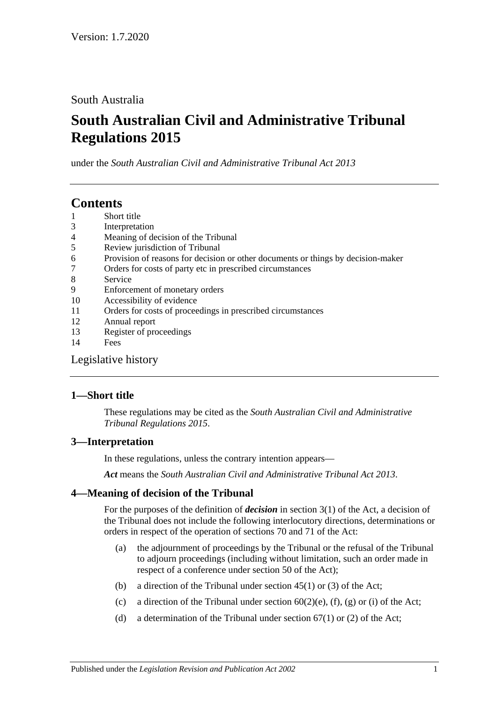South Australia

# **South Australian Civil and Administrative Tribunal Regulations 2015**

under the *South Australian Civil and Administrative Tribunal Act 2013*

## **Contents**

- 1 [Short title](#page-0-0)
- 3 [Interpretation](#page-0-1)
- 4 [Meaning of decision of the Tribunal](#page-0-2)
- 5 [Review jurisdiction of Tribunal](#page-1-0)
- 6 [Provision of reasons for decision or other documents or things by decision-maker](#page-2-0)
- 7 [Orders for costs of party etc in prescribed circumstances](#page-2-1)
- 8 [Service](#page-2-2)
- 9 [Enforcement of monetary orders](#page-3-0)
- 10 [Accessibility of evidence](#page-3-1)
- 11 [Orders for costs of proceedings in prescribed circumstances](#page-4-0)
- 12 [Annual report](#page-4-1)
- 13 [Register of proceedings](#page-4-2)
- 14 [Fees](#page-5-0)

[Legislative history](#page-8-0)

## <span id="page-0-0"></span>**1—Short title**

These regulations may be cited as the *South Australian Civil and Administrative Tribunal Regulations 2015*.

## <span id="page-0-1"></span>**3—Interpretation**

In these regulations, unless the contrary intention appears—

*Act* means the *[South Australian Civil and Administrative Tribunal Act](http://www.legislation.sa.gov.au/index.aspx?action=legref&type=act&legtitle=South%20Australian%20Civil%20and%20Administrative%20Tribunal%20Act%202013) 2013*.

## <span id="page-0-2"></span>**4—Meaning of decision of the Tribunal**

For the purposes of the definition of *decision* in section 3(1) of the Act, a decision of the Tribunal does not include the following interlocutory directions, determinations or orders in respect of the operation of sections 70 and 71 of the Act:

- (a) the adjournment of proceedings by the Tribunal or the refusal of the Tribunal to adjourn proceedings (including without limitation, such an order made in respect of a conference under section 50 of the Act);
- (b) a direction of the Tribunal under section  $45(1)$  or (3) of the Act;
- (c) a direction of the Tribunal under section  $60(2)(e)$ , (f), (g) or (i) of the Act;
- (d) a determination of the Tribunal under section  $67(1)$  or (2) of the Act;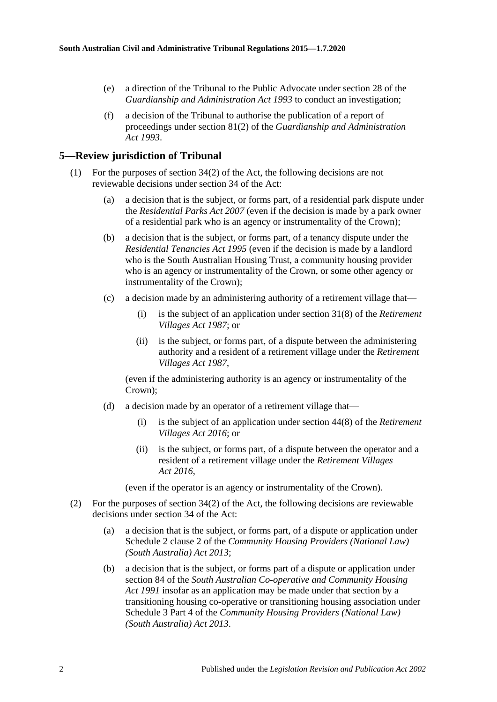- (e) a direction of the Tribunal to the Public Advocate under section 28 of the *[Guardianship and Administration Act](http://www.legislation.sa.gov.au/index.aspx?action=legref&type=act&legtitle=Guardianship%20and%20Administration%20Act%201993) 1993* to conduct an investigation;
- (f) a decision of the Tribunal to authorise the publication of a report of proceedings under section 81(2) of the *[Guardianship and Administration](http://www.legislation.sa.gov.au/index.aspx?action=legref&type=act&legtitle=Guardianship%20and%20Administration%20Act%201993)  Act [1993](http://www.legislation.sa.gov.au/index.aspx?action=legref&type=act&legtitle=Guardianship%20and%20Administration%20Act%201993)*.

#### <span id="page-1-0"></span>**5—Review jurisdiction of Tribunal**

- (1) For the purposes of section 34(2) of the Act, the following decisions are not reviewable decisions under section 34 of the Act:
	- (a) a decision that is the subject, or forms part, of a residential park dispute under the *[Residential Parks Act](http://www.legislation.sa.gov.au/index.aspx?action=legref&type=act&legtitle=Residential%20Parks%20Act%202007) 2007* (even if the decision is made by a park owner of a residential park who is an agency or instrumentality of the Crown);
	- (b) a decision that is the subject, or forms part, of a tenancy dispute under the *[Residential Tenancies Act](http://www.legislation.sa.gov.au/index.aspx?action=legref&type=act&legtitle=Residential%20Tenancies%20Act%201995) 1995* (even if the decision is made by a landlord who is the South Australian Housing Trust, a community housing provider who is an agency or instrumentality of the Crown, or some other agency or instrumentality of the Crown);
	- (c) a decision made by an administering authority of a retirement village that—
		- (i) is the subject of an application under section 31(8) of the *[Retirement](http://www.legislation.sa.gov.au/index.aspx?action=legref&type=act&legtitle=Retirement%20Villages%20Act%201987)  [Villages Act](http://www.legislation.sa.gov.au/index.aspx?action=legref&type=act&legtitle=Retirement%20Villages%20Act%201987) 1987*; or
		- (ii) is the subject, or forms part, of a dispute between the administering authority and a resident of a retirement village under the *[Retirement](http://www.legislation.sa.gov.au/index.aspx?action=legref&type=act&legtitle=Retirement%20Villages%20Act%201987)  [Villages Act](http://www.legislation.sa.gov.au/index.aspx?action=legref&type=act&legtitle=Retirement%20Villages%20Act%201987) 1987*,

(even if the administering authority is an agency or instrumentality of the Crown);

- (d) a decision made by an operator of a retirement village that—
	- (i) is the subject of an application under section 44(8) of the *[Retirement](http://www.legislation.sa.gov.au/index.aspx?action=legref&type=act&legtitle=Retirement%20Villages%20Act%202016)  [Villages Act](http://www.legislation.sa.gov.au/index.aspx?action=legref&type=act&legtitle=Retirement%20Villages%20Act%202016) 2016*; or
	- (ii) is the subject, or forms part, of a dispute between the operator and a resident of a retirement village under the *[Retirement Villages](http://www.legislation.sa.gov.au/index.aspx?action=legref&type=act&legtitle=Retirement%20Villages%20Act%202016)  Act [2016](http://www.legislation.sa.gov.au/index.aspx?action=legref&type=act&legtitle=Retirement%20Villages%20Act%202016)*,

(even if the operator is an agency or instrumentality of the Crown).

- (2) For the purposes of section 34(2) of the Act, the following decisions are reviewable decisions under section 34 of the Act:
	- (a) a decision that is the subject, or forms part, of a dispute or application under Schedule 2 clause 2 of the *[Community Housing Providers \(National Law\)](http://www.legislation.sa.gov.au/index.aspx?action=legref&type=act&legtitle=Community%20Housing%20Providers%20(National%20Law)%20(South%20Australia)%20Act%202013)  [\(South Australia\) Act](http://www.legislation.sa.gov.au/index.aspx?action=legref&type=act&legtitle=Community%20Housing%20Providers%20(National%20Law)%20(South%20Australia)%20Act%202013) 2013*;
	- (b) a decision that is the subject, or forms part of a dispute or application under section 84 of the *[South Australian Co-operative and Community Housing](http://www.legislation.sa.gov.au/index.aspx?action=legref&type=act&legtitle=South%20Australian%20Co-operative%20and%20Community%20Housing%20Act%201991)  Act [1991](http://www.legislation.sa.gov.au/index.aspx?action=legref&type=act&legtitle=South%20Australian%20Co-operative%20and%20Community%20Housing%20Act%201991)* insofar as an application may be made under that section by a transitioning housing co-operative or transitioning housing association under Schedule 3 Part 4 of the *[Community Housing Providers \(National Law\)](http://www.legislation.sa.gov.au/index.aspx?action=legref&type=act&legtitle=Community%20Housing%20Providers%20(National%20Law)%20(South%20Australia)%20Act%202013)  [\(South Australia\) Act](http://www.legislation.sa.gov.au/index.aspx?action=legref&type=act&legtitle=Community%20Housing%20Providers%20(National%20Law)%20(South%20Australia)%20Act%202013) 2013*.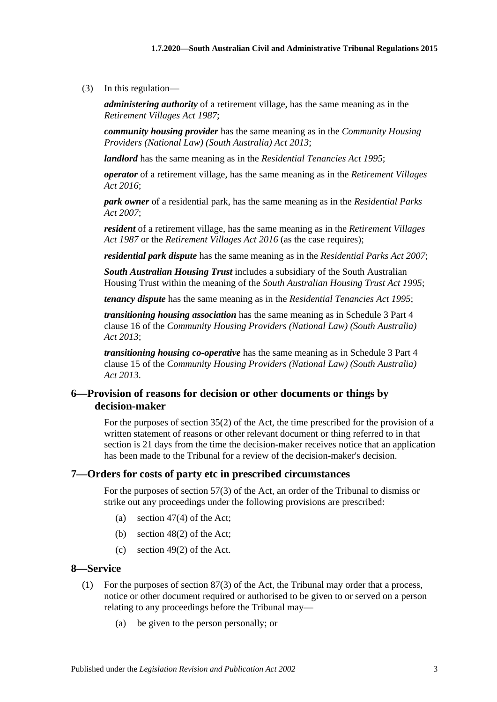(3) In this regulation—

*administering authority* of a retirement village, has the same meaning as in the *[Retirement Villages Act](http://www.legislation.sa.gov.au/index.aspx?action=legref&type=act&legtitle=Retirement%20Villages%20Act%201987) 1987*;

*community housing provider* has the same meaning as in the *[Community Housing](http://www.legislation.sa.gov.au/index.aspx?action=legref&type=act&legtitle=Community%20Housing%20Providers%20(National%20Law)%20(South%20Australia)%20Act%202013)  [Providers \(National Law\) \(South Australia\) Act](http://www.legislation.sa.gov.au/index.aspx?action=legref&type=act&legtitle=Community%20Housing%20Providers%20(National%20Law)%20(South%20Australia)%20Act%202013) 2013*;

*landlord* has the same meaning as in the *[Residential Tenancies Act](http://www.legislation.sa.gov.au/index.aspx?action=legref&type=act&legtitle=Residential%20Tenancies%20Act%201995) 1995*;

*operator* of a retirement village, has the same meaning as in the *[Retirement Villages](http://www.legislation.sa.gov.au/index.aspx?action=legref&type=act&legtitle=Retirement%20Villages%20Act%202016)  Act [2016](http://www.legislation.sa.gov.au/index.aspx?action=legref&type=act&legtitle=Retirement%20Villages%20Act%202016)*;

*park owner* of a residential park, has the same meaning as in the *[Residential Parks](http://www.legislation.sa.gov.au/index.aspx?action=legref&type=act&legtitle=Residential%20Parks%20Act%202007)  Act [2007](http://www.legislation.sa.gov.au/index.aspx?action=legref&type=act&legtitle=Residential%20Parks%20Act%202007)*;

*resident* of a retirement village, has the same meaning as in the *[Retirement Villages](http://www.legislation.sa.gov.au/index.aspx?action=legref&type=act&legtitle=Retirement%20Villages%20Act%201987)  Act [1987](http://www.legislation.sa.gov.au/index.aspx?action=legref&type=act&legtitle=Retirement%20Villages%20Act%201987)* or the *[Retirement Villages Act](http://www.legislation.sa.gov.au/index.aspx?action=legref&type=act&legtitle=Retirement%20Villages%20Act%202016) 2016* (as the case requires);

*residential park dispute* has the same meaning as in the *[Residential Parks Act](http://www.legislation.sa.gov.au/index.aspx?action=legref&type=act&legtitle=Residential%20Parks%20Act%202007) 2007*;

*South Australian Housing Trust* includes a subsidiary of the South Australian Housing Trust within the meaning of the *[South Australian Housing Trust Act](http://www.legislation.sa.gov.au/index.aspx?action=legref&type=act&legtitle=South%20Australian%20Housing%20Trust%20Act%201995) 1995*;

*tenancy dispute* has the same meaning as in the *[Residential Tenancies Act](http://www.legislation.sa.gov.au/index.aspx?action=legref&type=act&legtitle=Residential%20Tenancies%20Act%201995) 1995*;

*transitioning housing association* has the same meaning as in Schedule 3 Part 4 clause 16 of the *[Community Housing Providers \(National Law\) \(South Australia\)](http://www.legislation.sa.gov.au/index.aspx?action=legref&type=act&legtitle=Community%20Housing%20Providers%20(National%20Law)%20(South%20Australia)%20Act%202013)  Act [2013](http://www.legislation.sa.gov.au/index.aspx?action=legref&type=act&legtitle=Community%20Housing%20Providers%20(National%20Law)%20(South%20Australia)%20Act%202013)*;

*transitioning housing co-operative* has the same meaning as in Schedule 3 Part 4 clause 15 of the *[Community Housing Providers \(National Law\) \(South Australia\)](http://www.legislation.sa.gov.au/index.aspx?action=legref&type=act&legtitle=Community%20Housing%20Providers%20(National%20Law)%20(South%20Australia)%20Act%202013)  Act [2013](http://www.legislation.sa.gov.au/index.aspx?action=legref&type=act&legtitle=Community%20Housing%20Providers%20(National%20Law)%20(South%20Australia)%20Act%202013)*.

#### <span id="page-2-0"></span>**6—Provision of reasons for decision or other documents or things by decision-maker**

For the purposes of section 35(2) of the Act, the time prescribed for the provision of a written statement of reasons or other relevant document or thing referred to in that section is 21 days from the time the decision-maker receives notice that an application has been made to the Tribunal for a review of the decision-maker's decision.

#### <span id="page-2-1"></span>**7—Orders for costs of party etc in prescribed circumstances**

For the purposes of section 57(3) of the Act, an order of the Tribunal to dismiss or strike out any proceedings under the following provisions are prescribed:

- (a) section  $47(4)$  of the Act;
- (b) section 48(2) of the Act;
- (c) section 49(2) of the Act.

#### <span id="page-2-2"></span>**8—Service**

- (1) For the purposes of section 87(3) of the Act, the Tribunal may order that a process, notice or other document required or authorised to be given to or served on a person relating to any proceedings before the Tribunal may—
	- (a) be given to the person personally; or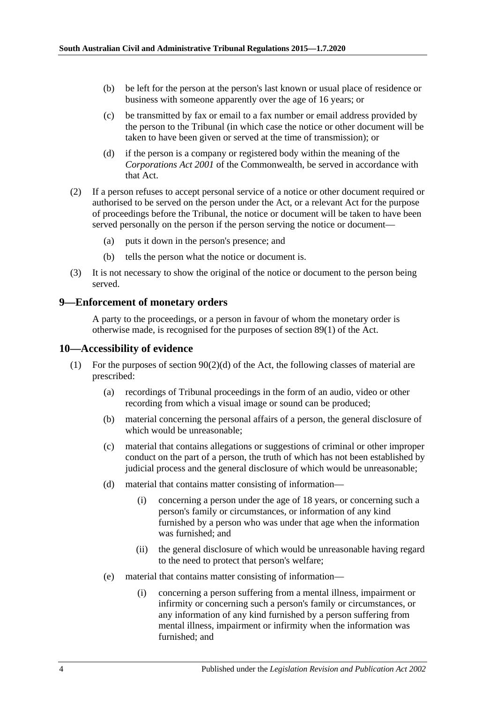- (b) be left for the person at the person's last known or usual place of residence or business with someone apparently over the age of 16 years; or
- (c) be transmitted by fax or email to a fax number or email address provided by the person to the Tribunal (in which case the notice or other document will be taken to have been given or served at the time of transmission); or
- (d) if the person is a company or registered body within the meaning of the *Corporations Act 2001* of the Commonwealth, be served in accordance with that Act.
- (2) If a person refuses to accept personal service of a notice or other document required or authorised to be served on the person under the Act, or a relevant Act for the purpose of proceedings before the Tribunal, the notice or document will be taken to have been served personally on the person if the person serving the notice or document—
	- (a) puts it down in the person's presence; and
	- (b) tells the person what the notice or document is.
- (3) It is not necessary to show the original of the notice or document to the person being served.

#### <span id="page-3-0"></span>**9—Enforcement of monetary orders**

A party to the proceedings, or a person in favour of whom the monetary order is otherwise made, is recognised for the purposes of section 89(1) of the Act.

#### <span id="page-3-1"></span>**10—Accessibility of evidence**

- (1) For the purposes of section  $90(2)(d)$  of the Act, the following classes of material are prescribed:
	- (a) recordings of Tribunal proceedings in the form of an audio, video or other recording from which a visual image or sound can be produced;
	- (b) material concerning the personal affairs of a person, the general disclosure of which would be unreasonable;
	- (c) material that contains allegations or suggestions of criminal or other improper conduct on the part of a person, the truth of which has not been established by judicial process and the general disclosure of which would be unreasonable;
	- (d) material that contains matter consisting of information—
		- (i) concerning a person under the age of 18 years, or concerning such a person's family or circumstances, or information of any kind furnished by a person who was under that age when the information was furnished; and
		- (ii) the general disclosure of which would be unreasonable having regard to the need to protect that person's welfare;
	- (e) material that contains matter consisting of information—
		- (i) concerning a person suffering from a mental illness, impairment or infirmity or concerning such a person's family or circumstances, or any information of any kind furnished by a person suffering from mental illness, impairment or infirmity when the information was furnished; and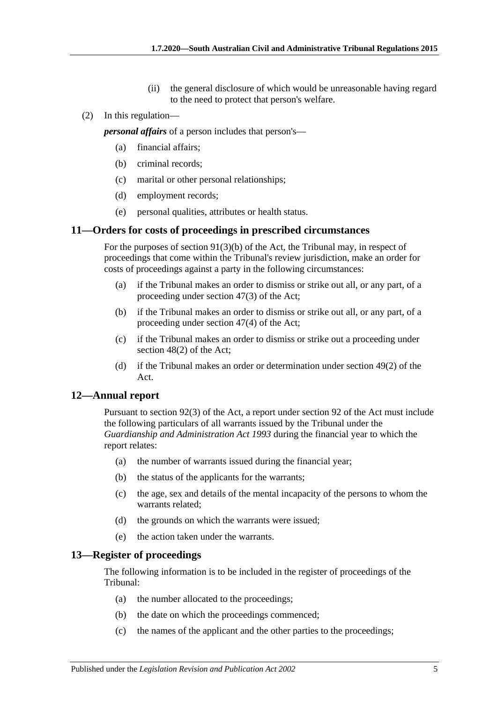- (ii) the general disclosure of which would be unreasonable having regard to the need to protect that person's welfare.
- (2) In this regulation—

*personal affairs* of a person includes that person's—

- (a) financial affairs;
- (b) criminal records;
- (c) marital or other personal relationships;
- (d) employment records;
- (e) personal qualities, attributes or health status.

#### <span id="page-4-0"></span>**11—Orders for costs of proceedings in prescribed circumstances**

For the purposes of section 91(3)(b) of the Act, the Tribunal may, in respect of proceedings that come within the Tribunal's review jurisdiction, make an order for costs of proceedings against a party in the following circumstances:

- (a) if the Tribunal makes an order to dismiss or strike out all, or any part, of a proceeding under section 47(3) of the Act;
- (b) if the Tribunal makes an order to dismiss or strike out all, or any part, of a proceeding under section 47(4) of the Act;
- (c) if the Tribunal makes an order to dismiss or strike out a proceeding under section 48(2) of the Act;
- (d) if the Tribunal makes an order or determination under section 49(2) of the Act.

#### <span id="page-4-1"></span>**12—Annual report**

Pursuant to section 92(3) of the Act, a report under section 92 of the Act must include the following particulars of all warrants issued by the Tribunal under the *[Guardianship and Administration Act](http://www.legislation.sa.gov.au/index.aspx?action=legref&type=act&legtitle=Guardianship%20and%20Administration%20Act%201993) 1993* during the financial year to which the report relates:

- (a) the number of warrants issued during the financial year;
- (b) the status of the applicants for the warrants;
- (c) the age, sex and details of the mental incapacity of the persons to whom the warrants related;
- (d) the grounds on which the warrants were issued;
- (e) the action taken under the warrants.

#### <span id="page-4-2"></span>**13—Register of proceedings**

The following information is to be included in the register of proceedings of the Tribunal:

- (a) the number allocated to the proceedings;
- (b) the date on which the proceedings commenced;
- (c) the names of the applicant and the other parties to the proceedings;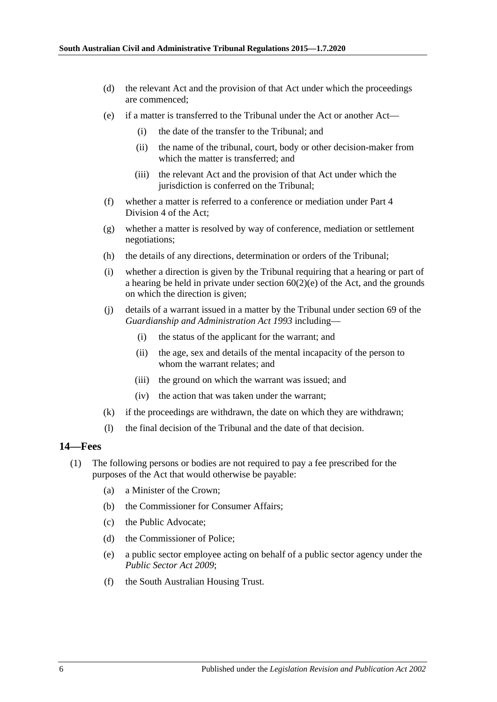- (d) the relevant Act and the provision of that Act under which the proceedings are commenced;
- (e) if a matter is transferred to the Tribunal under the Act or another Act—
	- (i) the date of the transfer to the Tribunal; and
	- (ii) the name of the tribunal, court, body or other decision-maker from which the matter is transferred; and
	- (iii) the relevant Act and the provision of that Act under which the jurisdiction is conferred on the Tribunal;
- (f) whether a matter is referred to a conference or mediation under Part 4 Division 4 of the Act;
- (g) whether a matter is resolved by way of conference, mediation or settlement negotiations;
- (h) the details of any directions, determination or orders of the Tribunal;
- (i) whether a direction is given by the Tribunal requiring that a hearing or part of a hearing be held in private under section 60(2)(e) of the Act, and the grounds on which the direction is given;
- (j) details of a warrant issued in a matter by the Tribunal under section 69 of the *[Guardianship and Administration Act](http://www.legislation.sa.gov.au/index.aspx?action=legref&type=act&legtitle=Guardianship%20and%20Administration%20Act%201993) 1993* including—
	- (i) the status of the applicant for the warrant; and
	- (ii) the age, sex and details of the mental incapacity of the person to whom the warrant relates; and
	- (iii) the ground on which the warrant was issued; and
	- (iv) the action that was taken under the warrant;
- (k) if the proceedings are withdrawn, the date on which they are withdrawn;
- (l) the final decision of the Tribunal and the date of that decision.

#### <span id="page-5-0"></span>**14—Fees**

- (1) The following persons or bodies are not required to pay a fee prescribed for the purposes of the Act that would otherwise be payable:
	- (a) a Minister of the Crown;
	- (b) the Commissioner for Consumer Affairs;
	- (c) the Public Advocate;
	- (d) the Commissioner of Police;
	- (e) a public sector employee acting on behalf of a public sector agency under the *[Public Sector Act](http://www.legislation.sa.gov.au/index.aspx?action=legref&type=act&legtitle=Public%20Sector%20Act%202009) 2009*;
	- (f) the South Australian Housing Trust.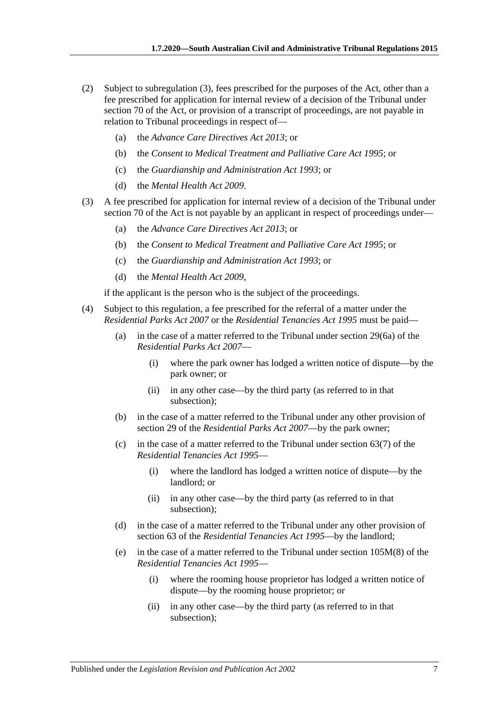- (2) Subject to [subregulation](#page-6-0) (3), fees prescribed for the purposes of the Act, other than a fee prescribed for application for internal review of a decision of the Tribunal under section 70 of the Act, or provision of a transcript of proceedings, are not payable in relation to Tribunal proceedings in respect of—
	- (a) the *[Advance Care Directives Act](http://www.legislation.sa.gov.au/index.aspx?action=legref&type=act&legtitle=Advance%20Care%20Directives%20Act%202013) 2013*; or
	- (b) the *[Consent to Medical Treatment and Palliative Care Act](http://www.legislation.sa.gov.au/index.aspx?action=legref&type=act&legtitle=Consent%20to%20Medical%20Treatment%20and%20Palliative%20Care%20Act%201995) 1995*; or
	- (c) the *[Guardianship and Administration Act](http://www.legislation.sa.gov.au/index.aspx?action=legref&type=act&legtitle=Guardianship%20and%20Administration%20Act%201993) 1993*; or
	- (d) the *[Mental Health Act](http://www.legislation.sa.gov.au/index.aspx?action=legref&type=act&legtitle=Mental%20Health%20Act%202009) 2009*.
- <span id="page-6-0"></span>(3) A fee prescribed for application for internal review of a decision of the Tribunal under section 70 of the Act is not payable by an applicant in respect of proceedings under—
	- (a) the *[Advance Care Directives Act](http://www.legislation.sa.gov.au/index.aspx?action=legref&type=act&legtitle=Advance%20Care%20Directives%20Act%202013) 2013*; or
	- (b) the *[Consent to Medical Treatment and Palliative Care Act](http://www.legislation.sa.gov.au/index.aspx?action=legref&type=act&legtitle=Consent%20to%20Medical%20Treatment%20and%20Palliative%20Care%20Act%201995) 1995*; or
	- (c) the *[Guardianship and Administration Act](http://www.legislation.sa.gov.au/index.aspx?action=legref&type=act&legtitle=Guardianship%20and%20Administration%20Act%201993) 1993*; or
	- (d) the *[Mental Health Act](http://www.legislation.sa.gov.au/index.aspx?action=legref&type=act&legtitle=Mental%20Health%20Act%202009) 2009*,

if the applicant is the person who is the subject of the proceedings.

- (4) Subject to this regulation, a fee prescribed for the referral of a matter under the *[Residential Parks Act](http://www.legislation.sa.gov.au/index.aspx?action=legref&type=act&legtitle=Residential%20Parks%20Act%202007) 2007* or the *[Residential Tenancies Act](http://www.legislation.sa.gov.au/index.aspx?action=legref&type=act&legtitle=Residential%20Tenancies%20Act%201995) 1995* must be paid—
	- (a) in the case of a matter referred to the Tribunal under section 29(6a) of the *[Residential Parks Act](http://www.legislation.sa.gov.au/index.aspx?action=legref&type=act&legtitle=Residential%20Parks%20Act%202007) 2007*—
		- (i) where the park owner has lodged a written notice of dispute—by the park owner; or
		- (ii) in any other case—by the third party (as referred to in that subsection);
	- (b) in the case of a matter referred to the Tribunal under any other provision of section 29 of the *[Residential Parks Act](http://www.legislation.sa.gov.au/index.aspx?action=legref&type=act&legtitle=Residential%20Parks%20Act%202007) 2007*—by the park owner;
	- (c) in the case of a matter referred to the Tribunal under section 63(7) of the *[Residential Tenancies Act](http://www.legislation.sa.gov.au/index.aspx?action=legref&type=act&legtitle=Residential%20Tenancies%20Act%201995) 1995*—
		- (i) where the landlord has lodged a written notice of dispute—by the landlord; or
		- (ii) in any other case—by the third party (as referred to in that subsection);
	- (d) in the case of a matter referred to the Tribunal under any other provision of section 63 of the *[Residential Tenancies Act](http://www.legislation.sa.gov.au/index.aspx?action=legref&type=act&legtitle=Residential%20Tenancies%20Act%201995) 1995*—by the landlord;
	- (e) in the case of a matter referred to the Tribunal under section 105M(8) of the *[Residential Tenancies Act](http://www.legislation.sa.gov.au/index.aspx?action=legref&type=act&legtitle=Residential%20Tenancies%20Act%201995) 1995*—
		- (i) where the rooming house proprietor has lodged a written notice of dispute—by the rooming house proprietor; or
		- (ii) in any other case—by the third party (as referred to in that subsection);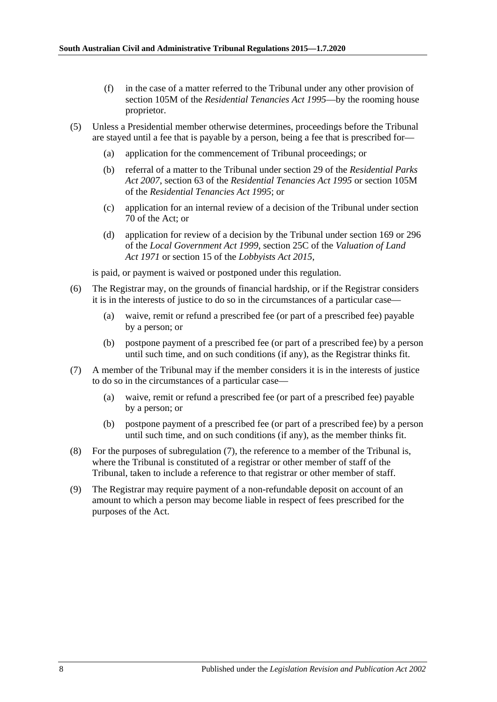- (f) in the case of a matter referred to the Tribunal under any other provision of section 105M of the *[Residential Tenancies Act](http://www.legislation.sa.gov.au/index.aspx?action=legref&type=act&legtitle=Residential%20Tenancies%20Act%201995) 1995*—by the rooming house proprietor.
- (5) Unless a Presidential member otherwise determines, proceedings before the Tribunal are stayed until a fee that is payable by a person, being a fee that is prescribed for—
	- (a) application for the commencement of Tribunal proceedings; or
	- (b) referral of a matter to the Tribunal under section 29 of the *[Residential Parks](http://www.legislation.sa.gov.au/index.aspx?action=legref&type=act&legtitle=Residential%20Parks%20Act%202007)  Act [2007](http://www.legislation.sa.gov.au/index.aspx?action=legref&type=act&legtitle=Residential%20Parks%20Act%202007)*, section 63 of the *[Residential Tenancies Act](http://www.legislation.sa.gov.au/index.aspx?action=legref&type=act&legtitle=Residential%20Tenancies%20Act%201995) 1995* or section 105M of the *[Residential Tenancies Act](http://www.legislation.sa.gov.au/index.aspx?action=legref&type=act&legtitle=Residential%20Tenancies%20Act%201995) 1995*; or
	- (c) application for an internal review of a decision of the Tribunal under section 70 of the Act; or
	- (d) application for review of a decision by the Tribunal under section 169 or 296 of the *[Local Government Act](http://www.legislation.sa.gov.au/index.aspx?action=legref&type=act&legtitle=Local%20Government%20Act%201999) 1999*, section 25C of the *[Valuation of Land](http://www.legislation.sa.gov.au/index.aspx?action=legref&type=act&legtitle=Valuation%20of%20Land%20Act%201971)  Act [1971](http://www.legislation.sa.gov.au/index.aspx?action=legref&type=act&legtitle=Valuation%20of%20Land%20Act%201971)* or section 15 of the *[Lobbyists Act](http://www.legislation.sa.gov.au/index.aspx?action=legref&type=act&legtitle=Lobbyists%20Act%202015) 2015*,

is paid, or payment is waived or postponed under this regulation.

- (6) The Registrar may, on the grounds of financial hardship, or if the Registrar considers it is in the interests of justice to do so in the circumstances of a particular case—
	- (a) waive, remit or refund a prescribed fee (or part of a prescribed fee) payable by a person; or
	- (b) postpone payment of a prescribed fee (or part of a prescribed fee) by a person until such time, and on such conditions (if any), as the Registrar thinks fit.
- <span id="page-7-0"></span>(7) A member of the Tribunal may if the member considers it is in the interests of justice to do so in the circumstances of a particular case—
	- (a) waive, remit or refund a prescribed fee (or part of a prescribed fee) payable by a person; or
	- (b) postpone payment of a prescribed fee (or part of a prescribed fee) by a person until such time, and on such conditions (if any), as the member thinks fit.
- (8) For the purposes of [subregulation](#page-7-0) (7), the reference to a member of the Tribunal is, where the Tribunal is constituted of a registrar or other member of staff of the Tribunal, taken to include a reference to that registrar or other member of staff.
- (9) The Registrar may require payment of a non-refundable deposit on account of an amount to which a person may become liable in respect of fees prescribed for the purposes of the Act.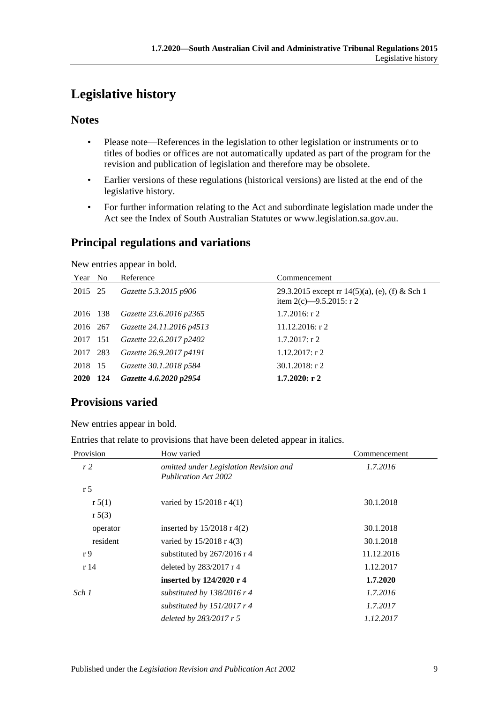# <span id="page-8-0"></span>**Legislative history**

## **Notes**

- Please note—References in the legislation to other legislation or instruments or to titles of bodies or offices are not automatically updated as part of the program for the revision and publication of legislation and therefore may be obsolete.
- Earlier versions of these regulations (historical versions) are listed at the end of the legislative history.
- For further information relating to the Act and subordinate legislation made under the Act see the Index of South Australian Statutes or www.legislation.sa.gov.au.

## **Principal regulations and variations**

New entries appear in bold.

| Year No  | Reference                | Commencement                                                                  |
|----------|--------------------------|-------------------------------------------------------------------------------|
| 2015 25  | Gazette 5.3.2015 p906    | 29.3.2015 except rr 14(5)(a), (e), (f) & Sch 1<br>item 2(c) $-9.5.2015$ : r 2 |
| 2016 138 | Gazette 23.6.2016 p2365  | $1.7.2016$ : r 2                                                              |
| 2016 267 | Gazette 24.11.2016 p4513 | $11.12.2016$ : r 2                                                            |
| 2017 151 | Gazette 22.6.2017 p2402  | $1.7.2017:$ r 2                                                               |
| 2017 283 | Gazette 26.9.2017 p4191  | $1.12.2017$ : r 2                                                             |
| 2018 15  | Gazette 30.1.2018 p584   | $30.1.2018$ : r 2                                                             |
| 2020 124 | Gazette 4.6.2020 p2954   | $1.7.2020:$ r 2                                                               |

# **Provisions varied**

New entries appear in bold.

|  |  | Entries that relate to provisions that have been deleted appear in italics. |  |  |  |
|--|--|-----------------------------------------------------------------------------|--|--|--|
|  |  |                                                                             |  |  |  |
|  |  |                                                                             |  |  |  |

| Provision      | How varied                                                            | Commencement |  |  |
|----------------|-----------------------------------------------------------------------|--------------|--|--|
| r <sub>2</sub> | omitted under Legislation Revision and<br><b>Publication Act 2002</b> | 1.7.2016     |  |  |
| r <sub>5</sub> |                                                                       |              |  |  |
| r 5(1)         | varied by $15/2018$ r 4(1)                                            | 30.1.2018    |  |  |
| r 5(3)         |                                                                       |              |  |  |
| operator       | inserted by $15/2018$ r 4(2)                                          | 30.1.2018    |  |  |
| resident       | varied by $15/2018$ r 4(3)                                            | 30.1.2018    |  |  |
| r 9            | substituted by 267/2016 r 4                                           | 11.12.2016   |  |  |
| r14            | deleted by 283/2017 r 4                                               | 1.12.2017    |  |  |
|                | inserted by 124/2020 r 4                                              | 1.7.2020     |  |  |
| Sch 1          | substituted by $138/2016$ r 4                                         | 1.7.2016     |  |  |
|                | substituted by $151/2017$ r 4                                         | 1.7.2017     |  |  |
|                | deleted by $283/2017$ r 5                                             | 1.12.2017    |  |  |
|                |                                                                       |              |  |  |